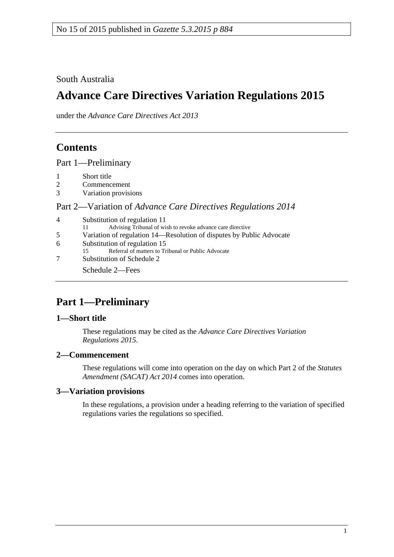South Australia

# **Advance Care Directives Variation Regulations 2015**

under the *Advance Care Directives Act 2013*

## **Contents**

Part [1—Preliminary](#page-0-0)

- 1 [Short title](#page-0-1)
- 2 [Commencement](#page-0-2)
- 3 [Variation provisions](#page-0-3)

#### Part 2—Variation of *[Advance Care Directives Regulations](#page-1-0) 2014*

| 4 | Substitution of regulation 11                                        |
|---|----------------------------------------------------------------------|
|   | Advising Tribunal of wish to revoke advance care directive<br>11     |
| 5 | Variation of regulation 14—Resolution of disputes by Public Advocate |
| 6 | Substitution of regulation 15                                        |
|   | Referral of matters to Tribunal or Public Advocate<br>15             |
|   | Substitution of Schedule 2                                           |

Schedule 2—Fees

## <span id="page-0-0"></span>**Part 1—Preliminary**

#### <span id="page-0-1"></span>**1—Short title**

These regulations may be cited as the *Advance Care Directives Variation Regulations 2015*.

#### <span id="page-0-2"></span>**2—Commencement**

These regulations will come into operation on the day on which Part 2 of the *[Statutes](http://www.legislation.sa.gov.au/index.aspx?action=legref&type=act&legtitle=Statutes%20Amendment%20(SACAT)%20Act%202014)  [Amendment \(SACAT\) Act](http://www.legislation.sa.gov.au/index.aspx?action=legref&type=act&legtitle=Statutes%20Amendment%20(SACAT)%20Act%202014) 2014* comes into operation.

#### <span id="page-0-3"></span>**3—Variation provisions**

In these regulations, a provision under a heading referring to the variation of specified regulations varies the regulations so specified.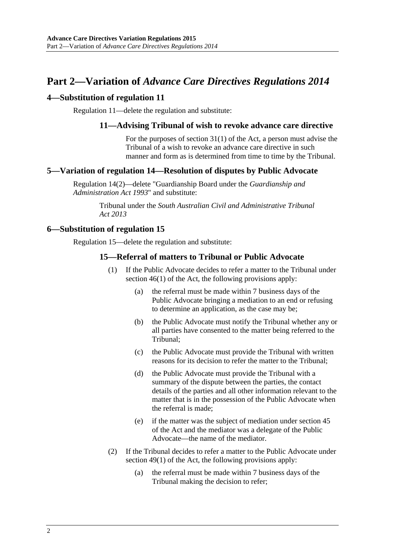### <span id="page-1-0"></span>**Part 2—Variation of** *Advance Care Directives Regulations 2014*

#### <span id="page-1-1"></span>**4—Substitution of regulation 11**

Regulation 11—delete the regulation and substitute:

#### **11—Advising Tribunal of wish to revoke advance care directive**

For the purposes of section 31(1) of the Act, a person must advise the Tribunal of a wish to revoke an advance care directive in such manner and form as is determined from time to time by the Tribunal.

#### <span id="page-1-2"></span>**5—Variation of regulation 14—Resolution of disputes by Public Advocate**

Regulation 14(2)—delete "Guardianship Board under the *[Guardianship and](http://www.legislation.sa.gov.au/index.aspx?action=legref&type=act&legtitle=Guardianship%20and%20Administration%20Act%201993)  [Administration Act](http://www.legislation.sa.gov.au/index.aspx?action=legref&type=act&legtitle=Guardianship%20and%20Administration%20Act%201993) 1993*" and substitute:

> Tribunal under the *[South Australian Civil and Administrative Tribunal](http://www.legislation.sa.gov.au/index.aspx?action=legref&type=act&legtitle=South%20Australian%20Civil%20and%20Administrative%20Tribunal%20Act%202013)  Act [2013](http://www.legislation.sa.gov.au/index.aspx?action=legref&type=act&legtitle=South%20Australian%20Civil%20and%20Administrative%20Tribunal%20Act%202013)*

#### <span id="page-1-3"></span>**6—Substitution of regulation 15**

Regulation 15—delete the regulation and substitute:

#### **15—Referral of matters to Tribunal or Public Advocate**

- (1) If the Public Advocate decides to refer a matter to the Tribunal under section 46(1) of the Act, the following provisions apply:
	- (a) the referral must be made within 7 business days of the Public Advocate bringing a mediation to an end or refusing to determine an application, as the case may be;
	- (b) the Public Advocate must notify the Tribunal whether any or all parties have consented to the matter being referred to the Tribunal;
	- (c) the Public Advocate must provide the Tribunal with written reasons for its decision to refer the matter to the Tribunal;
	- (d) the Public Advocate must provide the Tribunal with a summary of the dispute between the parties, the contact details of the parties and all other information relevant to the matter that is in the possession of the Public Advocate when the referral is made;
	- (e) if the matter was the subject of mediation under section 45 of the Act and the mediator was a delegate of the Public Advocate—the name of the mediator.
- (2) If the Tribunal decides to refer a matter to the Public Advocate under section 49(1) of the Act, the following provisions apply:
	- (a) the referral must be made within 7 business days of the Tribunal making the decision to refer;